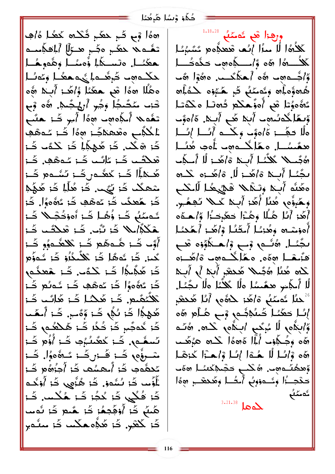حُكَّاف وْسُل هُرِهُنَا

هِهُمْ وَمِ ثَبِرِ حَظَمٍ ثَلْاهِ كَعُدًا هُ/َ و تَهُّديه حَقَّمِ وَجَّمِ مَدْئِلَ أَلْمُقَامِّدَةَ حكّْسُل ەنسىكَلا ۋُەسُلا وِهُموحُل لمأمدو لمنفسم وألجمته فالمحتمد دَهُلَا هَذَا هُمْ هَعَّنَا وُٰاهَٰذَ أَبْدَ هُوَ خْنِ مَكْتُجَاً وِجُرِ أَرَكْجُبِهِ. ۞ه وْمِ تَعْمَلا أَلَمُوهِم هِوَٰا أَلِي تَمِ حَسَّمِ لمُحْكِّبٍ ومُعمَّكَة وَوَٰهَ كَهْ مُوَهَّدٍ کُ; شَکْب کُ; مُوجِّجًا کُ; کُدَّب کُ; ھَٰٓدُف خُـ; ۦُلِّف خُـ; ٸُـہِھُڢٖ, خُـ; هُنهَلًا خُن كُعْدَمٍ خُن تُسْدَمِ خُن شعكُ خُز نُهُبٌ. خُز هُلُّهُ خُز هُهُمْ ثَۃ هُعدٌ ذَۃ مُههَدٍ ثَۃ مُهُموُلٍ ثَۃ نُـٰہمَٰنُ ۖ ذُر ذُہُـا ۖ ثَـٰ: أُہوٰخُجْـلا ۖ ثَـٰ: هَكُمُّ/مِلا خَرَ تَبُّ خَز مْلِكَب خَز أَوُّب كُن هُـءهُم كُـز يُلْهُـءوُو كُـز كُمز. خُز مُههًا خُز بْلاُمْلُوْ خُز مُهوَٰهِ کَۂ هَٰڋُلُّہُ اُ کَۂ حُکَّب کَۂ حُعثَـٰہ ثَہْ مُوْمُوْا ثُہْ مُوْھَبْ ثُہْ شُولُع ثُبْ ْݣْكُمُعْ. خَـٰ: هُـْدُـٰا خَـٰ: هُلْبُـٰب خَـٰ: هَٰٓهِكَٰٓا خَا ىُكُلّ خَا وَّەُٮبِ خَا أَنفُ کُن گُدجٌبرٖ کُزْ کُدُ کُن ھُکھُن کُنز لَسمُهِ, ثَـٰٓ; كَعُنُـٰبُهِ ثَـٰٓ; أُؤُمْ ثَـٰٓ; شَعِفْهِ خَــز كَــزىخَــز سُــةُهِوُا. خَــز مُدهَّدت ضَرَ أَسْعَسُتَ ضَرَ أَجْرُهُمْ ضَرَ لْلَّوْس خُز سُمُووْ. خُز هُزُّوِي خُز /ُوْكُـه کَز فُکٰی کَز مُجُز کَز هُکُس کَز هَٰىلٌ خَا أُوْهَٰدِهُا خَا هُبِمْ خَا نُهِيت کُز کُنْبُور کُز هُڋُەھکْس کُز مشُەبر

 $\frac{1}{3}$ ورهزا شي شُمْسًا و $\frac{1}{3}$ لْكُمُّا لَّا مِيرًا أَبِنُم مُعْجَمُوم مُمَّبِّئًا كَلُّــةُا هُه وَّاــــكِهوم حَدَّدَـٰــا وَّاجُــوهِـد هُو أَهْلَاَــدٍ وهُوَا هُد هُهُوَّوْهَاهُ وِثَمِمْكُمْ ثُمِ هُبَّوْهِ لَهُمَّاهُ مُؤْهِبًا هُم أُهزَّهكُم دُهنَا مثْكُنَا وَّىعَاكُدْسُومَا أَبَيْدَ هُمْ أَبِيْدَ. هَ/وَوَّمَا هلًا نَفِّخ هَ/ەوَّب وِكْنُ أَنْسَا إِنْسَا همُسُــا, وهَاكُــوهِــ أُودِ هُنُــا هُجَّىــلا ۚ كُلُّـُـا أَبِـدْ هَ/هُــ; لَا أَـــكِ ب بِجَيْبًا أَبِيهِ وَاهْدِ لَا وَاهْدِهِ كَتَبَهُ هَمَنُه أَبِيْ وَتَنْهَلا قَتْيَهِمَا لَلْتَكْبِ وِهَٰٓبِوُّہٖ هُنَا أُهُدَ أَبَٰہٗ كَــلا نَجِـهُـبِّ. أَهَٰذِ أَبَلَ هُـلًا وِهُـٰٓزَا حَعَٰذِكُۥۢا وَٚاهِـمَهُ أُهوْسْده وِهُذِيَا أَحْثَيُا وْاهْدْ أَحْدَيْا ىجَنَّا. ھُنَّے وَے وَاحتَکَوَّوْہ ھَے فَنُعْسَلَ مِهَمْ. مَعْلِكُمُ مِنْ وْالْهَنْ لَاه هُنَا هُجُمِلًا مُعْمَّمِ أَبَدَ أَلَى أَبِيدَ لًا أَـجَمْسٍ هِـعُـمـُما هأَلا كَلاَّمُا هأَلاَ نجَّمُـا. أَحْلًا شَمِنْهُ ةَاهُدَ حَدُّهِ أَنَّا هُحَقَّهِ إِسًا حَكَّمُا خَسُلَاجٌــهِ ۚ وَجِمَ هُــأَمْ هَٰهَ وَ}ابِكُمِ لَا يُبِكِّيِ ابِكُمِ كَلِهِ. هُنَه لِّهُهِ وَجُـٰكُلُوْمَا أَهْلَا هُاهُمَّا لَكُـُدَّةٌ هَزْهَمْـَـَـَـٰ هَهِ وَإِسْلَا لَمْ هُدًا إِسْلَا وَإِحِدًا كَذِهَا حَكَجِبُرا وِسُحووبُ أَحتُسا وِهُدِهْبِ ۞هُا ئەمنىپ  $\sum_{3.21.38}$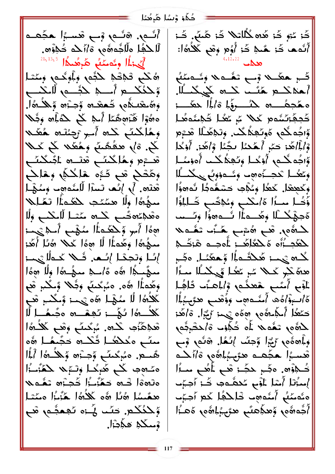حُكَّاف وْسُل هُرِهُنَا

أَنَّــم، هَنَّــم، وْبِ شَعَــزٍ! هجُعـــه لْاللَّجُا وَلَاجُوهُو وَأَلَمْكُمْ خُلِزْهِ. أَيْهَٰذُا وِحُمْنُهُ هَٰذِهُدُهُا ۚ هُكُم قُلْحُمْ لِمُثْمِ وِلْمُوَسُمِ وِمُتَا وَجَدَفَكَ مِ أَسَــِهِ كَجَسَــهِ لَاسْكَسِــمِ وِهَ هُندُه و خَمْعُده وِّجِبْرَه وَ حَكْمَاً. ههُوْا قُدْهِهُمْا أَمِهِ كُمْ حَدْبُرُهِ وِجُلا وِهُالِكُمُّعُ كُلُّهُ أُسِيَّ رَجِئْتُهُ هُفَكَلَا كُمْ. ةُ/ هَدَهُشَمْ وَهُعَدْ كُمْ كَمَلًا هْــْهِمْ وِـهُٰاكْمَنَّــمِ هْنْـــهِ لْمُكْمَنَّــمِ وِهَٰحْكِم شَع كُبُّو هَاكُمُّ وِهَاكَعِ هْلُهِ. أَبِي إِنَّمَا تَسْأَلَ لَّامُدُوهِمَا وَمُنْهَىٰلَ سؤةا ولا همّئت لحقّداً تعَلّعا ەقىجەم ئىس ئىسلى اللىكىم وال هِهُا أُمِرٍ وَلَكُمَا الْمَهْبِ أَسْلَمَ يَهْدَ مَدَّوُّهُا وَهُدَاْ لَا هِوَٰا كَمَلا هُنَا أُهُدَ إِسَّا وِتَجِحْـا إِسْـم. شَـْلا حْـواْلِيْهِــز معهَّمجُل هُ٥ هُ/مج معهُمهُ اولًا هِ١٥ وِهُدءَٰڵا هُ٥. ٥مُبِكَنِّعُ وِجُلا وَّعَكْبِ هُع هُدِمَّنُو گُده. يُبِكْسُ وِهْمِ ݣْلْدُهُ! منّع مكلّفُا ثُلُده حَجّمَها هُه هُـــــمْ. دَبُبُـُـنِّــع وِّجـــْ; وَ وَلِلْــٰهُا أَلَمُا ەئىھە كە ھُبِكْمَ وَلَّةِيْدَ كَمُتُنْدُر ه آه ه الله عَمَّزُماْ الْحَجْرَةِ عَمَّــه همَّسُا هُلَا هُو ݣُلُوٰا هُنَّا وَمُتَدَّا وَّكْتُكُمْ. حَتَّتَ إِنَّاءَ تَجْعَجُمْ هُمْ وْسِكْمْ فِكْمِتْزَا.

کُز مُزو کُز هُده کُللتَلا کُز هُنگٍ. کُنز أَلْدَم كُمْ هُلِمْ كُمْ أُوُمٍ وَهْمٍ كَلاُّوَّا:  $22$ تُبِ هَقَمِيلًا وَجِبِ تَهُــهَـلا وَيُــمِنْكُمْ أهناكم له عَمَّس كما كميكسال معَجعُــــه حمْـــــروِّبا هَاباًا حمَّـــــز َخُجِعُۂ*نُ*نُمُوم کُلا یُرٖ عَ*عُل* خُجْنُمُومُا وَّاجُه كُم هُوِنُجَدُكُ. وِنَجْعَظُا شَيْع وْإِيَّااهُمْ حَبّْ أَحْمَدُا بِجُبْا وْاهُدْ. أَوْكُلْ |ۆاجُەڭم | أَوْكُمْ وِنُجَدُّكُما أَەوْمُمْ وتعكر تحجنه وشاءوني الشكرية وكععقا كعكا ونكبء حشفوكا تُوهؤا وَّحُـا مــرًا هَ/مْكــبِ وِيُجْحَبِ خَــالِمُوَّا ەْجۇڭگا وڭىسەڭ اگىدەۋا وئىس للمؤه. هُم شُرْبٍ هُنْه تَعُدُلا لِلْعَجِبَّأَهِ هَلِكَلِّهُــزِ لِلْمَجِــهِ هَزِجُــدٍ لْحَدِهِ يَهْمَ هَٰلِكُمْ وَالْمَعَنَّمَاءِ وَكُمِّي هُمَا الْمُكْرِنَ لَحْدٌ مِنْ كُلَّهُ مِمَّا هَدَا لْمُو أُمَّى هَعنُـم وْالمحنُـ قُاهُـا كَاكِبُوْاْهُ، أَمْشُدْوِهِ- وَوُقْعَبِ هَرَّجِبُرُاْ! نَعْمَلَ أَبَيْدَ مَنْ وَهُمْ وَهُمْ أَيْتَ أَعْمَالَ لِهُومٍ تَعْمَلا لَمَا خُلُفٍ وْالْمَخْرِقُومِ وِـأَهِ؋ُو ۚ وَيُّ ۚ وَجِنُ إِنْـهَا. هُنُو ۚ وَبِ هَسبُرا هجُمـه هرُهِ بُلِهُم وَأَأَلَمـه تُكِبْوُهِ. وَكَبِرِ حَكِّمَ هُمِ لَمُعُمِ مِسْرًا إِسْرَٰنَا أَسْلَمَ لَمْهِم كَحَقَّـٰهِ وَ ذَا أَجِبَهِ ەئەممْلُم أَمْدەھٖٮ خْلِحْفُل كُم أَجبُّٮ أَجْدِهُو وَمِجْمَعِي مِرَّجِبِهِمْ وَمَخْلَ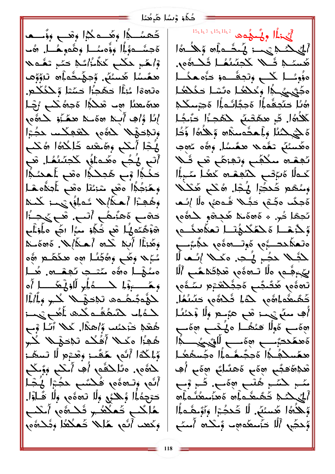حُكُوْ وْسُا هُرِهُنا

كُهسُـــكُمُ وَهُــــوكُمُ! وَهْـــــــــهـو ەَجسَّــوَبُرا وِؤُەسُــا وِهُورِهُــا. ھُـ وْاهْبِ حكْبِ كَذّْمَنّْاكُمْ حَكٍّ تَهُـهِـلا ھمَّىسُا ھَسىُّلٌ. وِّجِھُنڪُملُّا ٱلزَّوِّوُك ەتھەا ئىلْا خىھجا خىلىل ۆڭگى هدهُ عندًا وب شَكْبًا هُجدهُ كُبِ رُجْبًا إِنَّا وُإِي أَبَدَ 50 مَنْ هِمَّزَو كَلَّةُ 2 وِلْكِلْحَهْلا ۚ لِاهُم ۖ لِمُعْجِكْتِ حَجَّبَا لْهِ أَسْلَمِ وِهَمْعُد خَالَكْهَ ا هُكْبِ أَنَّعِ هُجُمٍ مَعْدَافُهِ كَلَّحِنَّىٰهُا. شَمَّ حَكُمُّا وْبِ هُجِكْمًا هِمْي لَمُعْنَــٰهُا وِهُ;جُدًا هفْعٍ سْبَىِّنْا هفْعٍ لِمُدْهَدَا لاسكا نسمنَ وفْلحث محرالهم أأكبه حَدْمَـــمِ وَهُنَمْــمِ أَنْـــمِ. هُــمِ يُحِجَــزُا ۞ۏٛۿؘػڡڮؙڶ۞ڿ؞ڂؗڲؙۏۦٮؽٳؙۦٳۻۜ؞ڡڵ۪ۏڷؠ وَهَٰذِيْلَا أَبِيْهِ كَمِدِهِ أَحْظَىٰلِكَ وَهِ هَٰذَا مُبَرْيَة وَهُمْ وَهُكُمُا هِمْ مَذْهُبَةٌ وَهُمْ ەمْگَىل ەۋە مَمْتىجە ئېقىسى ھُىل لِحَقُّوَجُنفُءِهِ ثَجْحَهُمْ لَاجِرٍ وَلَمُ/لَمَّا نسرع َ مِنْهُ مَا مُدْهَدُ مَا مِنْهُ مِنْ مِنْ مَا مِنْ مِنْ مِنْ مِنْ مِنْ مَا مِنْ مِنْ مَا مِنْ هُعْدِ حَبْدَسَ وَ/هذَا, كَلا أَنَّا وَبِ هُجْزَا مكلا أَفُكُم تَبْحَهْلًا كُبِر وَٰٓٓٓٓہٗہٰذَا ٱللَّہِ حَقَّىٰٓ وَقَدْءِمِ لَا تَسطَّ لِمَثَمَودٍ. وَتُلِكَفُوهِ أَبْ أَسْلَمٍ وَوَّلِكُم أَنَّهِ وَٱدَهَهُمْ فُلْسُمْ حَجَّةٍا لَهُجْلًا حَرْجِهُ أَا وُحِكْرُ وِلَّا نَحْوَى وِلَّا قَـاوْا. هُلِّكُبِ ثَمُلُّعُبِرِ ثَكْشُو لِأَسْرَاءِ الْكُبِ وِكْعَد أَنَّهِ هَٰلِمًا تَحْمَلُهُا وِجُّلْوُهِ،

 $^{15,1,3,15,11,2}$  organ  $^{6}$ أَشْكُمْ وَالْمَدْ بْسِنَ مِنْكُرِيْهِ أَ هُسئةِ فُلا لَاجسُنُعُا ثُلُّ هُوي. وَوَّوِسُمْلُمْ كُلْسٍ وَتَحِفُّسُوهِ حَزَّە مَفْسَلَ وَجَرْيِبِيُ جُلَّ وَحُكِمَا وَسُمَّا حَكَكْمًا هُىُا حَبُّحَفُّه اُ هُجِّدَانُـه اُ هُجْمِـمكْـهِ لْمَدُّهُ! ثُم ممَّفْسٌ لِمَعْجِزًا حَنُجًا هَ حَيْحَمُنَا وِلْمَحْدِمِعَاهِ وَلِحَدُهَا وَّذَا ەھَسْنُمْ تْمُەللا ھْمُسْلَ وْھُە مُەب ئَعِمُـُه مِكْفِّـمٍ وِلَعِنِكُمِ شَمِ ثَـُـلا كْتَوْلًا وَبَرْضَى كَنْجَمْتُ كَعْدًا مُنْبِذًا وَسُعْمِ خَدِجْرًا هُجًا. هُكُم هَكَـٰلًا هُجِكُ وَجُـُمْ حَجُّـهُ ۖ قُـومَٰىٰ وَلَا إِنَّـم تَجِعْلُ خُبِرٍ. \* هُ٥٥مَنْهُ هَٰذِ٥٩ لَدْهُمِ لَدْوَّهِ وَحْزَمْـا هَحْمَكْمُهْنْـا تْمَلَّامْنُــە ەتمكىدىگوە كوتىسەۋە بىكك لمَشِلًا مئُبِ هُتِ. 2016 }نُـم لَا الْمُ سِنْمَكَةَ مُعْمَدُ وَمُعْتَمَدَ أَلَّاهُ مِصْفَبِينَ تَهَوَّمٍ هُكُنُّبٍ وَجَعُلِقَةٍمِ سَنَّوْمٍ َّكْشَمْدَاهُو لِكْمَا ثَكْلُهُو حَ*نْدُه*َا. أَهِ مِنَّ يَهْدَ هُمْ هَذَا أَمَّا لَهُمْ مِنْهُمْ مِنْ مِنْ الْمَحْمَدِ بِهِمَ وَاللَّهُ عَنْمًا مَا يَمْسَى مِهْمَ الْمَسْتَكِبِرِ وَمَاسِعٍ الْمَوْسَنِيْسِيْمَاهُ ممَسلامُلُم أَهْجُمْهُا وَجُسْعُهِ ا هُدِهُوَهُمْ وَهُمْ هُهَنَّامٌ وَهُمْ أَبْ مَنَّبِ لَمَنَّبِ هُلْبٍ وَهُسٍ لَا وَبِ مَلَّكِ شَعْمَةً وَالْمَسْتَمْعَةَ مِلْكَمِرَاءَ أَوَّلِكُوا هَسْنَعٌ. لَا خَدجُـْ: وَأَوَّحَدُـهِ أَ وَلِحَجُمٍ أَلَّا حَزَّمَعَهُمِ وَمِكْدِهِ أَمِنِّعِ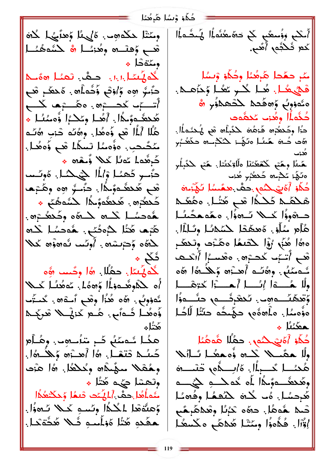حُكُو وْسُا هُرِهُنا |أَسْلَم وفُسعَّم كَلّ حَتَّمَعُنُمَاْ لَمُحَدَّماً |<br>|كم ثَكْثَم أَهَّم. وَسَنْتَا حَكْدُومٍ. هَ/مِلَّا وَهِدَّسِيْهِا لَحْيَاهِ قب وُهلَـــه وِهُـٰهَـــا <mark>ه</mark>ُ لكنُـههُــُــا ومتقاظيه گەئىتان، خىت، تمئا ھۇجا جَنُبٌ ۞ وَإِذْتُمْ ذُخْمَلُهُ . هَٰ هَغُمْ وَ هُبِ أتسبَّ كصبُّره. هكسترها كمسم هَٰٓدهٗ؎وۡہٰٳٗ. ٱهُٰٓبا وِحۡدٗا وُّہٖمُنُـا ﴾ هُلَّا ٱلْمَا هُم وَّەهُل. وِهُنَّه حْنِي هُنَّـه مَكْتَحِبٍ. دَوْْمَمُا نَسْكُلُ هُمْ وُّدَهُداً. دُهِ مَا مَا مَا لَكُمْ وَمُحْمَدِهِ دَّىبِ كَعِمًا وْاٰلًا ۞كِكَا. هُوئَــٰت هُم هَٰدهٌ ءوۭٞٮۮٗا. حنَّـرٌ وه وهَـٰٓبِم كَكفَرْهِ . هَكَعُوَىَدًا كَشَوعُكُمْ \* هُوصُاً لَكِ لَكْ هُو وِكُعِفْتِهِ . هُبْم هُتُل حُبُوضُبٍ. هُوصُباً كَلِهِ  $\Delta$ ە كۆرىشە $\hat{h}$ ۇئىب ئەھۋە ئى $\Delta$ ئُکُم ٭ كُولَمِسًا. حقُلًا. هَا وِحَسب هُو أَه ۖ لِكُمُوهُـ ءوَلَمَا وَرَدَهُ }. عَدَهُـَـٰلَم كَـــلا مُووِبُ . 6ه هُذَا وِهْدٍ أَحْدُو . كَمِتُو ؤُوهُـا شُـوْنَـى. هُـع كَـزِيْـــلا قَدِكِــدْ محتام هَنُا شَمَمُّهُ ضَرِ مُناسِقٍ وَهُـأَمْ كُسُلِم قَتَصْلَ. هُلْ أُهْتُوه وُلِمُدَهُلَ. وهُڤلا سهُْىدُه وِمُللهُا. هُا هَ;َد وتعشا ديد أشعثاء مْدَكْتُمْلْ.حَمَّ. ٱلْمُكْتَ صَمُّل وُحَكْتَعُدًّا وُهِنَّهُمْا لِمُكُمَّا وِنَسْهِ كَحِلًّا نُـهِوًّا. تَــد هُـههُا. حهُه تَدْبِئا وِقَدْهُبِهُم ـْمَفَّدِهِ هَٰتُا هُوَلَّمٰـهِ ثَــٰهُ هَٰـثَةَتَـا. إِوّْٱلْ. قُذْهُواْ وِمَتْنَا هَٰلِمَكَّعِ مَكْسِعُا ۖ

مِّرٍ حمَّحاً هَرِهُمُا وِحُكُوْ وْبِسُا قْتَلِيْخَا. هُـا كُبْرِ مُعْـا وَجَزَعــدَ. ەشەروبُ ۋەھّْىم للشھمۇر ، كُثْمَاُ | وهُن كُنفُوت دُا وِحَٰحِمُرٖه فَزِمُهَ حَذَبِلَه مَى يُحِدَءِلًا. ەّد خُـەْ هَىنُـا ەنَهُـ: ھُنَدْمِــە حكْمُــُمِر حَمْدًا وِحَمْمٍ لَاحْتَمَدْنَا هَلَاوْدُنُنا. حَمْمٍ لِكَبِلُو ەلَكْ: كَلَّەبە كَكْتُرْبِر شَات صُدَّرَ أَهُ لِمُسْهُمَ مِحْمًا مِنْكُمْ وَسُكَرْبَاهُ مَنْ الْمَنْزَمِينَ هَكْفَA كَكْدًا مْبِ هَتْدا. هِ هَمْكُ دەُوۋًا كَمْلَا ئَىھوُّا. ھَمُھَمَّسُلَ هُأَمِ مُأَوِّ. هُمِهُمْا حَمَّدُا وَتَـالَمَا. هِهَا هُنَّى رُوَّا كَتَنفُّا هِكَنْتِ وِتَنفُطِ هُم أَتَّــرُّتَ كُحــرُرُهُ . هُمُسـرًا أَاتْقَــمَـ ئەملەب وھۇئە أەشەھ ۆللگە ئاھ ولًا هُــــةا إنْــــا أحـــــْزا كَتِهْــــا وُهْهُنُـــەوب. نُحْفُرِثُــــە حِنُـــەؤُا وَوْْمِمُا. وْݣُوهُو وْهُوْمْ حَيْمَتْ حَتّْنَا لْأَحْلَّا هكنْنُا \* دُهُوَ أَهْتِي حَمَّلًا هُوهُمَّا وَمَّذَا الْمَوْهَ ولًا حصَّىلا كُمُ وُوحِعْمَا نَسْأَلَلا هُدُــا كُــبِلَا. هُ/بِــدُهِ تَسْــةِ ومُحدَّدهُ ومُمَّا لَمَّ يُدهك مِنْ حَيْ هُرِحِسًا. هُـ كُنْ كَنْعَمًا وِقُومُـا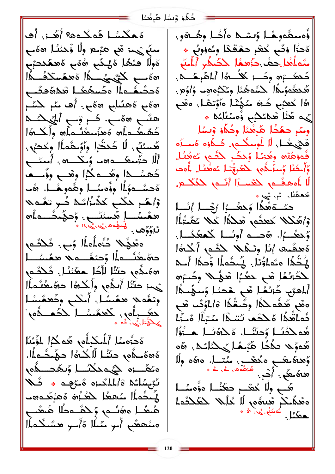حُكُوْ وْسُا هُرِهُنَا

هُهكُسُا قُوحُدُو؟ أُهَدَ أُف مِنَّ يَسْ ثُمَّ عَبَّىهِ وَلَّا زَحْنُنَا 20مَح ەُوِلَا ھىُھُا ەُلىگَى ھُەٓى ەَھىمُدىَبُ الْمَــــفْكَسفَمَّة الْمَــــوْسِيْنِكْمْ بِـــةُ ەُحكَىڤەىمُّا ەكسۇھۇسا شەھەقىب ههُم هُهنَّلم ههُم. أَه مَّهِ كَشَهِ هلٌم ههُم. دُم وَما الْمَهْشَدُ حُهُمِعْــهِ أَمِ هَٰهَنُمِمِكْــهِ أَمْ وَأَكْـــهُ ا هَسنُهُ. لَا حَٰحتَٰۥٓا وٖٱوۡحَفۡء َٰا وِحۡحَـٰ﴾. أَلَّا حَتَمِيعًا وَمِنْ وَمِنْكَ مِنْ أَمِينَ جِ حُھسُـــدا وهُــــوكُـــوا وهَــــو وؤَـــــم ةَحِشَــودُاً وِوْْءِسُــا وِهُومِـمُــا. ۞ وْاهْمِ مْكْبِ كْذّْأَاتُكُمْ دُبِرٍ تْغُمُّهُ مشساً هَسْتُلْسِ: وَحَمَّدَّ وَأَمَّدُ ِ وَشَوْيًا ۚ خُرُّہ أُماُ! وَج. فَكَشُمْ ۖ دةَ مِثْلُ عالَمَ أَحْتَمُ عَلَى مَعْسَلِ الْمَسْرِ ههَٰذُهِ حَتَّنُا لَأَحُا حَعَّنُا فَلَدُهِ حَمَّنَا أَسلُّمَ وأَحْدَهُ! حقَّمَتُمَالَ وتعُوي همُسُلَ أَسْلَح وكُعفَسُل حَقَّبِ أَمْرٍ . كَعَمَّسُهِ لَكُنَّهِ وَمَنْ تَجْمَعُونَ<br>حَقَّةٌ : يُوشُفُ مَنْ الْمَحْمَدِ الْمَحْمَدِ الْمَحْمَدِ الْمَحْمَدِ الْمَحْمَدِ الْمَحْمَدِ الْمَحْمَدِ الْ َّهُ حَزَّمِيُّا ٱلْمُكْبِلُومِ هُوكُرَا لِمُؤْيُنُا ەھەمىمە دەشل للىكىما دۆمىشەلما. وەڭگىدە كېيەدكەك كەنگە ئۇبمائى قايللگىزە ەُخچە پە ئىلا لَمِحْماً مُعطَ لِلْعُزُوهَ هَجْهُدُوه هُىعُــا ەھُنَــە ۆكھُــەدلًا هُىعُىــع ەمئىھىگىم آمو مىللا ئاآمىر ھىئىگـدىلا

ؤْەمىڤُەوھُـا ۆىشـى ە/ْكُـا وھُـ-ھُو. هَدُا وَثَى حُقَّر حَمْقَدًا وِثَهوَوِبُ \* منْه أَهُا حَدُّ حَزْهِهُا ۖ حَذْمُهِ ۚ ٱلْمَنْ كَعِفْــْ;ه وِكَـــز كَلاُـــهُ الْمَاهَٰزِهَـــدْ. هُدهُدوُماْ لِكِنُدهُمُا وكُلْمُوهِ وُٱوُمْ. هُا مُعرَّبٍ حُـهَ مُهُتَّا هَوَّتِهَا. هِمَّ لَى هَنَّا هُدَكَّتْبِ وُْمَسَّلَاْتُهُ \* ومَّح حمَّحُل هَرِهُمُّل وحُكُّوْ وْسُلْ فَحْيُ هُـا. لَا أُوسِكُــوں ضَـكُوْهِ وَســرُه فَموهُلُه وهُزئا وُحكْمٍ حَثَمِهِ عُمهُنا. وَٱمْتَعَلَّا وَمِعَامِكُم ۚ حَقَوَةُ ۖ مَا مَحَمَّلَ ۚ لَهُ صَا لَّا لَمُعفَـمٍ حَقَسـْا أَنَـمٍ حَكَكـم. مُعمُنُا. \*: \* \*\* حمَّـــتَمَعُمُّا وَحِعُــــرٗا وُجْــــا إِنْــــا وْاهْكْلا كْعِثُم مْكْلًا كْلا كْمْتّْبَلّْا وَحِعَدُ!. وَحده أُوسًا كَمِعْكُلْ! هُههُمهِ إِمَا وَسَمْلاً لِحُصَّى أَكْتُمَا لِمُتُكُلُ مَعْمَلَوْنَا. يُمَحُمَلُا وَحَكُلاً أَسْمَ لمَخْتِبُهُا هُم مِعْبُرا هُؤُلًا وِحُبْرَه ٱلملحَى حَاسُهًا هَي هَجِئًا وَسَهَّيْدًا ەھْم ھُڪُم لاھُا وِكُنغُمُّا ةُالمَوِّكُ هُم خُماتُعِدًا هَـحْصَم تَسْـدًا مَتْبِلًا هُـنَّزَ هُدكْتُـا وَحتُنْـا. هَـكْتُـا هــُزُوْا هَمْ وَهُدًا هُبُهُمْ إِلَيْهِ وَهُدَا عَهْدَهُ مِنْهُمْ مِنْهُمْ مِنْهُمْ مِنْهُمْ مِنْهُمْ مِنْهِ \_ هَبِ وِلَا ـُحقَـــزِ حفَّتُــا وؤُومُــا ەقىدىكى قىيۋەر لا كالا للكلافىل<br>معْمَانْ فَصَبْنَ فَ فَلا للكلافِيل